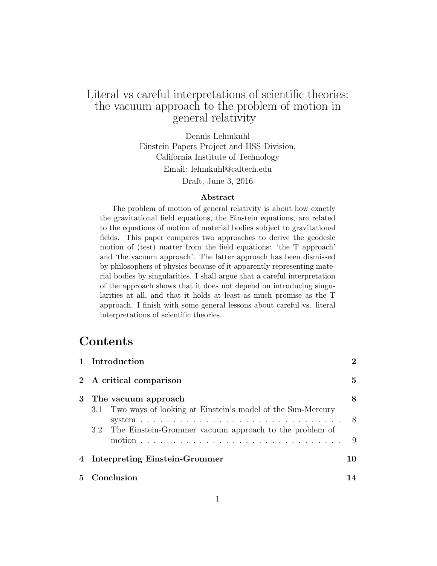# Literal vs careful interpretations of scientific theories: the vacuum approach to the problem of motion in general relativity

Dennis Lehmkuhl Einstein Papers Project and HSS Division, California Institute of Technology Email: lehmkuhl@caltech.edu Draft, June 3, 2016

#### Abstract

The problem of motion of general relativity is about how exactly the gravitational field equations, the Einstein equations, are related to the equations of motion of material bodies subject to gravitational fields. This paper compares two approaches to derive the geodesic motion of (test) matter from the field equations: 'the T approach' and 'the vacuum approach'. The latter approach has been dismissed by philosophers of physics because of it apparently representing material bodies by singularities. I shall argue that a careful interpretation of the approach shows that it does not depend on introducing singularities at all, and that it holds at least as much promise as the T approach. I finish with some general lessons about careful vs. literal interpretations of scientific theories.

# Contents

|              | 1 Introduction                                                                                                                                          | $\mathbf{2}$ |
|--------------|---------------------------------------------------------------------------------------------------------------------------------------------------------|--------------|
|              | 2 A critical comparison                                                                                                                                 | $\mathbf{5}$ |
|              | 3 The vacuum approach                                                                                                                                   | 8            |
|              | 3.1 Two ways of looking at Einstein's model of the Sun-Mercury<br>system $\ldots \ldots \ldots \ldots \ldots \ldots \ldots \ldots \ldots \ldots \ldots$ | 8            |
|              | 3.2 The Einstein-Grommer vacuum approach to the problem of                                                                                              | 9            |
|              | 4 Interpreting Einstein-Grommer                                                                                                                         | 10           |
| $\mathbf{5}$ | Conclusion                                                                                                                                              | 14           |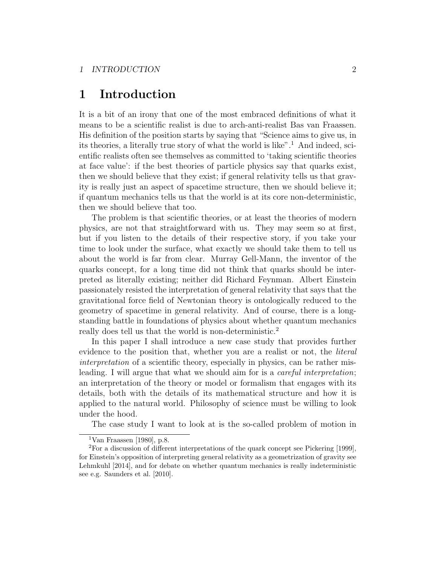# 1 Introduction

It is a bit of an irony that one of the most embraced definitions of what it means to be a scientific realist is due to arch-anti-realist Bas van Fraassen. His definition of the position starts by saying that "Science aims to give us, in its theories, a literally true story of what the world is like".<sup>1</sup> And indeed, scientific realists often see themselves as committed to 'taking scientific theories at face value': if the best theories of particle physics say that quarks exist, then we should believe that they exist; if general relativity tells us that gravity is really just an aspect of spacetime structure, then we should believe it; if quantum mechanics tells us that the world is at its core non-deterministic, then we should believe that too.

The problem is that scientific theories, or at least the theories of modern physics, are not that straightforward with us. They may seem so at first, but if you listen to the details of their respective story, if you take your time to look under the surface, what exactly we should take them to tell us about the world is far from clear. Murray Gell-Mann, the inventor of the quarks concept, for a long time did not think that quarks should be interpreted as literally existing; neither did Richard Feynman. Albert Einstein passionately resisted the interpretation of general relativity that says that the gravitational force field of Newtonian theory is ontologically reduced to the geometry of spacetime in general relativity. And of course, there is a longstanding battle in foundations of physics about whether quantum mechanics really does tell us that the world is non-deterministic.<sup>2</sup>

In this paper I shall introduce a new case study that provides further evidence to the position that, whether you are a realist or not, the *literal* interpretation of a scientific theory, especially in physics, can be rather misleading. I will argue that what we should aim for is a *careful interpretation*; an interpretation of the theory or model or formalism that engages with its details, both with the details of its mathematical structure and how it is applied to the natural world. Philosophy of science must be willing to look under the hood.

The case study I want to look at is the so-called problem of motion in

<sup>&</sup>lt;sup>1</sup>Van Fraassen [1980], p.8.

 ${}^{2}$ For a discussion of different interpretations of the quark concept see Pickering [1999], for Einstein's opposition of interpreting general relativity as a geometrization of gravity see Lehmkuhl [2014], and for debate on whether quantum mechanics is really indeterministic see e.g. Saunders et al. [2010].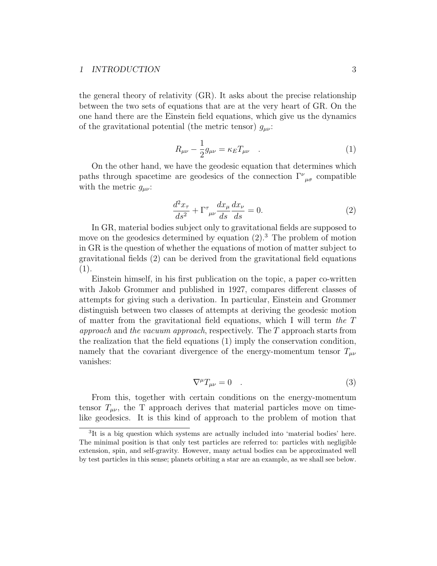#### 1 INTRODUCTION 3

the general theory of relativity (GR). It asks about the precise relationship between the two sets of equations that are at the very heart of GR. On the one hand there are the Einstein field equations, which give us the dynamics of the gravitational potential (the metric tensor)  $g_{\mu\nu}$ :

$$
R_{\mu\nu} - \frac{1}{2}g_{\mu\nu} = \kappa_E T_{\mu\nu} \quad . \tag{1}
$$

On the other hand, we have the geodesic equation that determines which paths through spacetime are geodesics of the connection  $\Gamma^{\nu}{}_{\mu\sigma}$  compatible with the metric  $g_{\mu\nu}$ :

$$
\frac{d^2x_\tau}{ds^2} + \Gamma^\tau_{\ \mu\nu} \frac{dx_\mu}{ds} \frac{dx_\nu}{ds} = 0.
$$
 (2)

In GR, material bodies subject only to gravitational fields are supposed to move on the geodesics determined by equation  $(2)$ .<sup>3</sup> The problem of motion in GR is the question of whether the equations of motion of matter subject to gravitational fields (2) can be derived from the gravitational field equations (1).

Einstein himself, in his first publication on the topic, a paper co-written with Jakob Grommer and published in 1927, compares different classes of attempts for giving such a derivation. In particular, Einstein and Grommer distinguish between two classes of attempts at deriving the geodesic motion of matter from the gravitational field equations, which I will term the T approach and the vacuum approach, respectively. The T approach starts from the realization that the field equations (1) imply the conservation condition, namely that the covariant divergence of the energy-momentum tensor  $T_{\mu\nu}$ vanishes:

$$
\nabla^{\mu}T_{\mu\nu} = 0 \quad . \tag{3}
$$

From this, together with certain conditions on the energy-momentum tensor  $T_{\mu\nu}$ , the T approach derives that material particles move on timelike geodesics. It is this kind of approach to the problem of motion that

<sup>&</sup>lt;sup>3</sup>It is a big question which systems are actually included into 'material bodies' here. The minimal position is that only test particles are referred to: particles with negligible extension, spin, and self-gravity. However, many actual bodies can be approximated well by test particles in this sense; planets orbiting a star are an example, as we shall see below.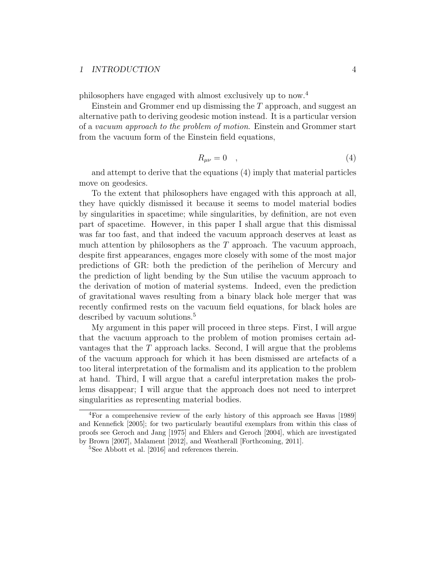#### 1 INTRODUCTION 4

philosophers have engaged with almost exclusively up to now.<sup>4</sup>

Einstein and Grommer end up dismissing the  $T$  approach, and suggest an alternative path to deriving geodesic motion instead. It is a particular version of a vacuum approach to the problem of motion. Einstein and Grommer start from the vacuum form of the Einstein field equations,

$$
R_{\mu\nu} = 0 \quad , \tag{4}
$$

and attempt to derive that the equations (4) imply that material particles move on geodesics.

To the extent that philosophers have engaged with this approach at all, they have quickly dismissed it because it seems to model material bodies by singularities in spacetime; while singularities, by definition, are not even part of spacetime. However, in this paper I shall argue that this dismissal was far too fast, and that indeed the vacuum approach deserves at least as much attention by philosophers as the  $T$  approach. The vacuum approach, despite first appearances, engages more closely with some of the most major predictions of GR: both the prediction of the perihelion of Mercury and the prediction of light bending by the Sun utilise the vacuum approach to the derivation of motion of material systems. Indeed, even the prediction of gravitational waves resulting from a binary black hole merger that was recently confirmed rests on the vacuum field equations, for black holes are described by vacuum solutions.<sup>5</sup>

My argument in this paper will proceed in three steps. First, I will argue that the vacuum approach to the problem of motion promises certain advantages that the  $T$  approach lacks. Second, I will argue that the problems of the vacuum approach for which it has been dismissed are artefacts of a too literal interpretation of the formalism and its application to the problem at hand. Third, I will argue that a careful interpretation makes the problems disappear; I will argue that the approach does not need to interpret singularities as representing material bodies.

<sup>4</sup>For a comprehensive review of the early history of this approach see Havas [1989] and Kennefick [2005]; for two particularly beautiful exemplars from within this class of proofs see Geroch and Jang [1975] and Ehlers and Geroch [2004], which are investigated by Brown [2007], Malament [2012], and Weatherall [Forthcoming, 2011].

<sup>5</sup>See Abbott et al. [2016] and references therein.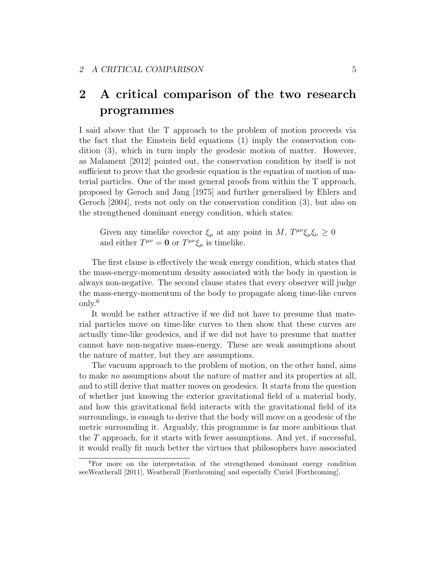# 2 A critical comparison of the two research programmes

I said above that the T approach to the problem of motion proceeds via the fact that the Einstein field equations (1) imply the conservation condition (3), which in turn imply the geodesic motion of matter. However, as Malament [2012] pointed out, the conservation condition by itself is not sufficient to prove that the geodesic equation is the equation of motion of material particles. One of the most general proofs from within the T approach, proposed by Geroch and Jang [1975] and further generalised by Ehlers and Geroch [2004], rests not only on the conservation condition (3), but also on the strengthened dominant energy condition, which states:

Given any timelike covector  $\xi_{\mu}$  at any point in M,  $T^{\mu\nu}\xi_{\mu}\xi_{\nu} \geq 0$ and either  $T^{\mu\nu} = \mathbf{0}$  or  $T^{\mu\nu}\xi_{\mu}$  is timelike.

The first clause is effectively the weak energy condition, which states that the mass-energy-momentum density associated with the body in question is always non-negative. The second clause states that every observer will judge the mass-energy-momentum of the body to propagate along time-like curves only.<sup>6</sup>

It would be rather attractive if we did not have to presume that material particles move on time-like curves to then show that these curves are actually time-like geodesics, and if we did not have to presume that matter cannot have non-negative mass-energy. These are weak assumptions about the nature of matter, but they are assumptions.

The vacuum approach to the problem of motion, on the other hand, aims to make no assumptions about the nature of matter and its properties at all, and to still derive that matter moves on geodesics. It starts from the question of whether just knowing the exterior gravitational field of a material body, and how this gravitational field interacts with the gravitational field of its surroundings, is enough to derive that the body will move on a geodesic of the metric surrounding it. Arguably, this programme is far more ambitious that the  $T$  approach, for it starts with fewer assumptions. And yet, if successful, it would really fit much better the virtues that philosophers have associated

<sup>6</sup>For more on the interpretation of the strengthened dominant energy condition seeWeatherall [2011], Weatherall [Forthcoming] and especially Curiel [Forthcoming].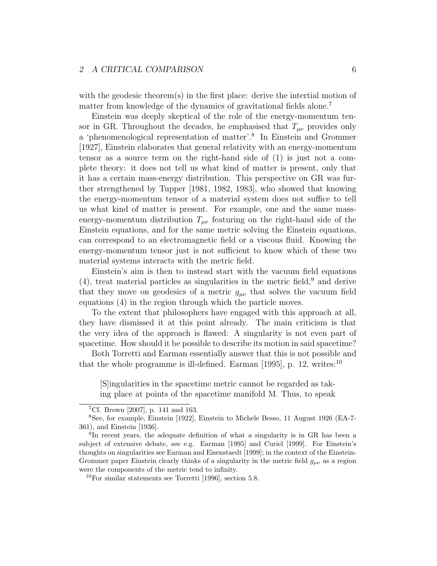#### 2 A CRITICAL COMPARISON 6

with the geodesic theorem(s) in the first place: derive the intertial motion of matter from knowledge of the dynamics of gravitational fields alone.<sup>7</sup>

Einstein was deeply skeptical of the role of the energy-momentum tensor in GR. Throughout the decades, he emphasised that  $T_{\mu\nu}$  provides only a 'phenomenological representation of matter'.<sup>8</sup> In Einstein and Grommer [1927], Einstein elaborates that general relativity with an energy-momentum tensor as a source term on the right-hand side of (1) is just not a complete theory: it does not tell us what kind of matter is present, only that it has a certain mass-energy distribution. This perspective on GR was further strengthened by Tupper [1981, 1982, 1983], who showed that knowing the energy-momentum tensor of a material system does not suffice to tell us what kind of matter is present. For example, one and the same massenergy-momentum distribution  $T_{\mu\nu}$  featuring on the right-hand side of the Einstein equations, and for the same metric solving the Einstein equations, can correspond to an electromagnetic field or a viscous fluid. Knowing the energy-momentum tensor just is not sufficient to know which of these two material systems interacts with the metric field.

Einstein's aim is then to instead start with the vacuum field equations  $(4)$ , treat material particles as singularities in the metric field,  $9$  and derive that they move on geodesics of a metric  $g_{\mu\nu}$  that solves the vacuum field equations (4) in the region through which the particle moves.

To the extent that philosophers have engaged with this approach at all, they have dismissed it at this point already. The main criticism is that the very idea of the approach is flawed: A singularity is not even part of spacetime. How should it be possible to describe its motion in said spacetime?

Both Torretti and Earman essentially answer that this is not possible and that the whole programme is ill-defined. Earman [1995], p. 12, writes:<sup>10</sup>

[S]ingularities in the spacetime metric cannot be regarded as taking place at points of the spacetime manifold M. Thus, to speak

<sup>&</sup>lt;sup>7</sup>Cf. Brown [2007], p. 141 and 163.

<sup>8</sup>See, for example, Einstein [1922], Einstein to Michele Besso, 11 August 1926 (EA-7- 361), and Einstein [1936].

<sup>&</sup>lt;sup>9</sup>In recent years, the adequate definition of what a singularity is in GR has been a subject of extensive debate, see e.g. Earman [1995] and Curiel [1999]. For Einstein's thoughts on singularities see Earman and Eisenstaedt [1999]; in the context of the Einstein-Grommer paper Einstein clearly thinks of a singularity in the metric field  $g_{\mu\nu}$  as a region were the components of the metric tend to infinity.

<sup>10</sup>For similar statements see Torretti [1996], section 5.8.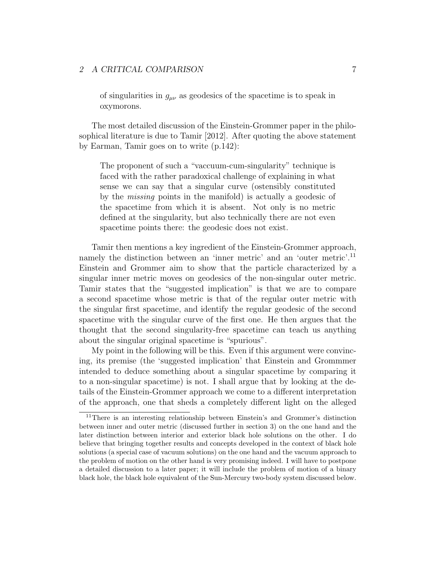### 2 A CRITICAL COMPARISON 7

of singularities in  $g_{\mu\nu}$  as geodesics of the spacetime is to speak in oxymorons.

The most detailed discussion of the Einstein-Grommer paper in the philosophical literature is due to Tamir [2012]. After quoting the above statement by Earman, Tamir goes on to write (p.142):

The proponent of such a "vaccuum-cum-singularity" technique is faced with the rather paradoxical challenge of explaining in what sense we can say that a singular curve (ostensibly constituted by the missing points in the manifold) is actually a geodesic of the spacetime from which it is absent. Not only is no metric defined at the singularity, but also technically there are not even spacetime points there: the geodesic does not exist.

Tamir then mentions a key ingredient of the Einstein-Grommer approach, namely the distinction between an 'inner metric' and an 'outer metric'.<sup>11</sup> Einstein and Grommer aim to show that the particle characterized by a singular inner metric moves on geodesics of the non-singular outer metric. Tamir states that the "suggested implication" is that we are to compare a second spacetime whose metric is that of the regular outer metric with the singular first spacetime, and identify the regular geodesic of the second spacetime with the singular curve of the first one. He then argues that the thought that the second singularity-free spacetime can teach us anything about the singular original spacetime is "spurious".

My point in the following will be this. Even if this argument were convincing, its premise (the 'suggested implication' that Einstein and Grommmer intended to deduce something about a singular spacetime by comparing it to a non-singular spacetime) is not. I shall argue that by looking at the details of the Einstein-Grommer approach we come to a different interpretation of the approach, one that sheds a completely different light on the alleged

<sup>11</sup>There is an interesting relationship between Einstein's and Grommer's distinction between inner and outer metric (discussed further in section 3) on the one hand and the later distinction between interior and exterior black hole solutions on the other. I do believe that bringing together results and concepts developed in the context of black hole solutions (a special case of vacuum solutions) on the one hand and the vacuum approach to the problem of motion on the other hand is very promising indeed. I will have to postpone a detailed discussion to a later paper; it will include the problem of motion of a binary black hole, the black hole equivalent of the Sun-Mercury two-body system discussed below.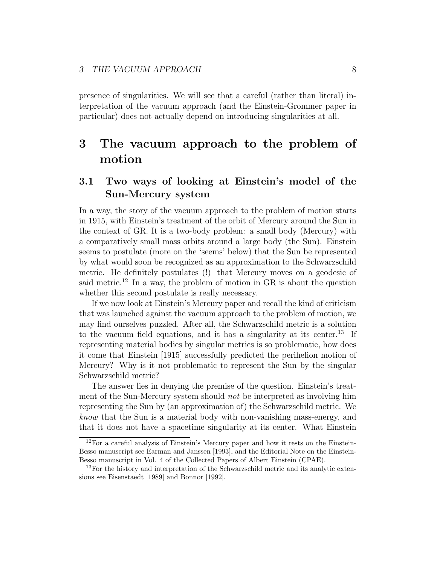presence of singularities. We will see that a careful (rather than literal) interpretation of the vacuum approach (and the Einstein-Grommer paper in particular) does not actually depend on introducing singularities at all.

# 3 The vacuum approach to the problem of motion

# 3.1 Two ways of looking at Einstein's model of the Sun-Mercury system

In a way, the story of the vacuum approach to the problem of motion starts in 1915, with Einstein's treatment of the orbit of Mercury around the Sun in the context of GR. It is a two-body problem: a small body (Mercury) with a comparatively small mass orbits around a large body (the Sun). Einstein seems to postulate (more on the 'seems' below) that the Sun be represented by what would soon be recognized as an approximation to the Schwarzschild metric. He definitely postulates (!) that Mercury moves on a geodesic of said metric.<sup>12</sup> In a way, the problem of motion in GR is about the question whether this second postulate is really necessary.

If we now look at Einstein's Mercury paper and recall the kind of criticism that was launched against the vacuum approach to the problem of motion, we may find ourselves puzzled. After all, the Schwarzschild metric is a solution to the vacuum field equations, and it has a singularity at its center.<sup>13</sup> If representing material bodies by singular metrics is so problematic, how does it come that Einstein [1915] successfully predicted the perihelion motion of Mercury? Why is it not problematic to represent the Sun by the singular Schwarzschild metric?

The answer lies in denying the premise of the question. Einstein's treatment of the Sun-Mercury system should not be interpreted as involving him representing the Sun by (an approximation of) the Schwarzschild metric. We know that the Sun is a material body with non-vanishing mass-energy, and that it does not have a spacetime singularity at its center. What Einstein

 $12$ For a careful analysis of Einstein's Mercury paper and how it rests on the Einstein-Besso manuscript see Earman and Janssen [1993], and the Editorial Note on the Einstein-Besso manuscript in Vol. 4 of the Collected Papers of Albert Einstein (CPAE).

<sup>&</sup>lt;sup>13</sup>For the history and interpretation of the Schwarzschild metric and its analytic extensions see Eisenstaedt [1989] and Bonnor [1992].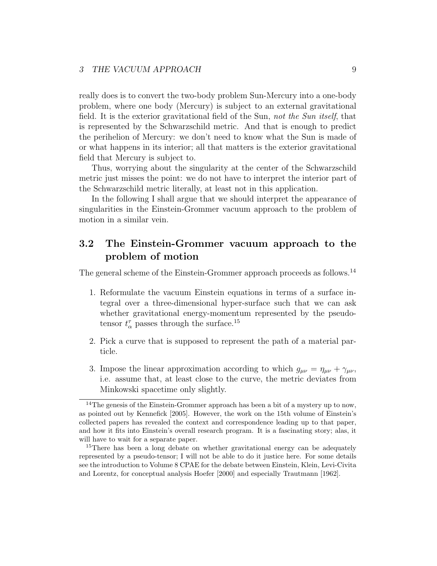## 3 THE VACUUM APPROACH 9

really does is to convert the two-body problem Sun-Mercury into a one-body problem, where one body (Mercury) is subject to an external gravitational field. It is the exterior gravitational field of the Sun, not the Sun itself, that is represented by the Schwarzschild metric. And that is enough to predict the perihelion of Mercury: we don't need to know what the Sun is made of or what happens in its interior; all that matters is the exterior gravitational field that Mercury is subject to.

Thus, worrying about the singularity at the center of the Schwarzschild metric just misses the point: we do not have to interpret the interior part of the Schwarzschild metric literally, at least not in this application.

In the following I shall argue that we should interpret the appearance of singularities in the Einstein-Grommer vacuum approach to the problem of motion in a similar vein.

## 3.2 The Einstein-Grommer vacuum approach to the problem of motion

The general scheme of the Einstein-Grommer approach proceeds as follows.<sup>14</sup>

- 1. Reformulate the vacuum Einstein equations in terms of a surface integral over a three-dimensional hyper-surface such that we can ask whether gravitational energy-momentum represented by the pseudotensor  $t_{\alpha}^{\tau}$  passes through the surface.<sup>15</sup>
- 2. Pick a curve that is supposed to represent the path of a material particle.
- 3. Impose the linear approximation according to which  $g_{\mu\nu} = \eta_{\mu\nu} + \gamma_{\mu\nu}$ , i.e. assume that, at least close to the curve, the metric deviates from Minkowski spacetime only slightly.

<sup>&</sup>lt;sup>14</sup>The genesis of the Einstein-Grommer approach has been a bit of a mystery up to now, as pointed out by Kennefick [2005]. However, the work on the 15th volume of Einstein's collected papers has revealed the context and correspondence leading up to that paper, and how it fits into Einstein's overall research program. It is a fascinating story; alas, it will have to wait for a separate paper.

<sup>&</sup>lt;sup>15</sup>There has been a long debate on whether gravitational energy can be adequately represented by a pseudo-tensor; I will not be able to do it justice here. For some details see the introduction to Volume 8 CPAE for the debate between Einstein, Klein, Levi-Civita and Lorentz, for conceptual analysis Hoefer [2000] and especially Trautmann [1962].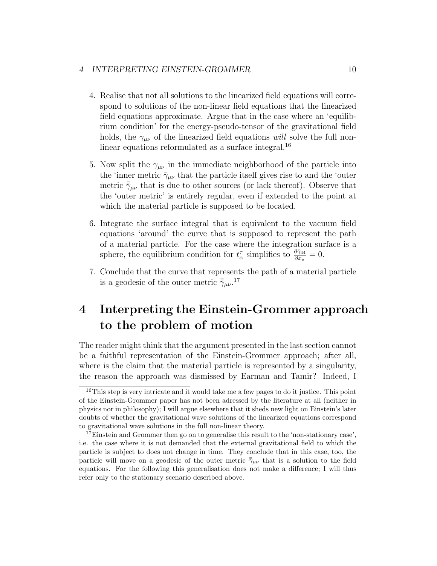- 4. Realise that not all solutions to the linearized field equations will correspond to solutions of the non-linear field equations that the linearized field equations approximate. Argue that in the case where an 'equilibrium condition' for the energy-pseudo-tensor of the gravitational field holds, the  $\gamma_{\mu\nu}$  of the linearized field equations will solve the full nonlinear equations reformulated as a surface integral.<sup>16</sup>
- 5. Now split the  $\gamma_{\mu\nu}$  in the immediate neighborhood of the particle into the 'inner metric  $\bar{\gamma}_{\mu\nu}$  that the particle itself gives rise to and the 'outer metric  $\bar{\gamma}_{\mu\nu}$  that is due to other sources (or lack thereof). Observe that the 'outer metric' is entirely regular, even if extended to the point at which the material particle is supposed to be located.
- 6. Integrate the surface integral that is equivalent to the vacuum field equations 'around' the curve that is supposed to represent the path of a material particle. For the case where the integration surface is a sphere, the equilibrium condition for  $t^{\tau}_{\alpha}$  simplifies to  $\frac{\partial \bar{\tilde{\gamma}}_{44}}{\partial x_{\sigma}} = 0$ .
- 7. Conclude that the curve that represents the path of a material particle is a geodesic of the outer metric  $\bar{7}_{\mu\nu}$ .<sup>17</sup>

# 4 Interpreting the Einstein-Grommer approach to the problem of motion

The reader might think that the argument presented in the last section cannot be a faithful representation of the Einstein-Grommer approach; after all, where is the claim that the material particle is represented by a singularity, the reason the approach was dismissed by Earman and Tamir? Indeed, I

 $16$ This step is very intricate and it would take me a few pages to do it justice. This point of the Einstein-Grommer paper has not been adressed by the literature at all (neither in physics nor in philosophy); I will argue elsewhere that it sheds new light on Einstein's later doubts of whether the gravitational wave solutions of the linearized equations correspond to gravitational wave solutions in the full non-linear theory.

<sup>&</sup>lt;sup>17</sup>Einstein and Grommer then go on to generalise this result to the 'non-stationary case', i.e. the case where it is not demanded that the external gravitational field to which the particle is subject to does not change in time. They conclude that in this case, too, the particle will move on a geodesic of the outer metric  $\bar{\gamma}_{\mu\nu}$  that is a solution to the field equations. For the following this generalisation does not make a difference; I will thus refer only to the stationary scenario described above.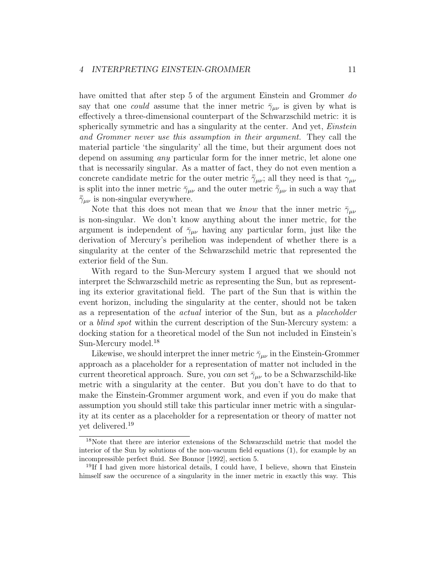have omitted that after step 5 of the argument Einstein and Grommer do say that one *could* assume that the inner metric  $\bar{\gamma}_{\mu\nu}$  is given by what is effectively a three-dimensional counterpart of the Schwarzschild metric: it is spherically symmetric and has a singularity at the center. And yet, *Einstein* and Grommer never use this assumption in their argument. They call the material particle 'the singularity' all the time, but their argument does not depend on assuming *any* particular form for the inner metric, let alone one that is necessarily singular. As a matter of fact, they do not even mention a concrete candidate metric for the outer metric  $\bar{\gamma}_{\mu\nu}$ ; all they need is that  $\gamma_{\mu\nu}$ is split into the inner metric  $\bar{\gamma}_{\mu\nu}$  and the outer metric  $\bar{\bar{\gamma}}_{\mu\nu}$  in such a way that  $\bar{\bar{\gamma}}_{\mu\nu}$  is non-singular everywhere.

Note that this does not mean that we know that the inner metric  $\bar{\gamma}_{\mu\nu}$ is non-singular. We don't know anything about the inner metric, for the argument is independent of  $\bar{\gamma}_{\mu\nu}$  having any particular form, just like the derivation of Mercury's perihelion was independent of whether there is a singularity at the center of the Schwarzschild metric that represented the exterior field of the Sun.

With regard to the Sun-Mercury system I argued that we should not interpret the Schwarzschild metric as representing the Sun, but as representing its exterior gravitational field. The part of the Sun that is within the event horizon, including the singularity at the center, should not be taken as a representation of the actual interior of the Sun, but as a placeholder or a blind spot within the current description of the Sun-Mercury system: a docking station for a theoretical model of the Sun not included in Einstein's Sun-Mercury model.<sup>18</sup>

Likewise, we should interpret the inner metric  $\bar{\gamma}_{\mu\nu}$  in the Einstein-Grommer approach as a placeholder for a representation of matter not included in the current theoretical approach. Sure, you can set  $\bar{\gamma}_{\mu\nu}$  to be a Schwarzschild-like metric with a singularity at the center. But you don't have to do that to make the Einstein-Grommer argument work, and even if you do make that assumption you should still take this particular inner metric with a singularity at its center as a placeholder for a representation or theory of matter not yet delivered.<sup>19</sup>

<sup>18</sup>Note that there are interior extensions of the Schwarzschild metric that model the interior of the Sun by solutions of the non-vacuum field equations (1), for example by an incompressible perfect fluid. See Bonnor [1992], section 5.

<sup>&</sup>lt;sup>19</sup>If I had given more historical details, I could have, I believe, shown that Einstein himself saw the occurence of a singularity in the inner metric in exactly this way. This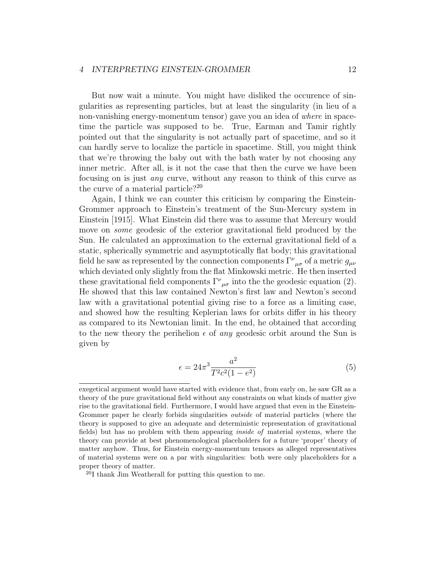But now wait a minute. You might have disliked the occurence of singularities as representing particles, but at least the singularity (in lieu of a non-vanishing energy-momentum tensor) gave you an idea of where in spacetime the particle was supposed to be. True, Earman and Tamir rightly pointed out that the singularity is not actually part of spacetime, and so it can hardly serve to localize the particle in spacetime. Still, you might think that we're throwing the baby out with the bath water by not choosing any inner metric. After all, is it not the case that then the curve we have been focusing on is just any curve, without any reason to think of this curve as the curve of a material particle?<sup>20</sup>

Again, I think we can counter this criticism by comparing the Einstein-Grommer approach to Einstein's treatment of the Sun-Mercury system in Einstein [1915]. What Einstein did there was to assume that Mercury would move on *some* geodesic of the exterior gravitational field produced by the Sun. He calculated an approximation to the external gravitational field of a static, spherically symmetric and asymptotically flat body; this gravitational field he saw as represented by the connection components  $\Gamma^{\nu}{}_{\mu\sigma}$  of a metric  $g_{\mu\nu}$ which deviated only slightly from the flat Minkowski metric. He then inserted these gravitational field components  $\Gamma^{\nu}{}_{\mu\sigma}$  into the the geodesic equation (2). He showed that this law contained Newton's first law and Newton's second law with a gravitational potential giving rise to a force as a limiting case, and showed how the resulting Keplerian laws for orbits differ in his theory as compared to its Newtonian limit. In the end, he obtained that according to the new theory the perihelion  $\epsilon$  of any geodesic orbit around the Sun is given by

$$
\epsilon = 24\pi^3 \frac{a^2}{T^2 c^2 (1 - e^2)}
$$
(5)

exegetical argument would have started with evidence that, from early on, he saw GR as a theory of the pure gravitational field without any constraints on what kinds of matter give rise to the gravitational field. Furthermore, I would have argued that even in the Einstein-Grommer paper he clearly forbids singularities *outside* of material particles (where the theory is supposed to give an adequate and deterministic representation of gravitational fields) but has no problem with them appearing inside of material systems, where the theory can provide at best phenomenological placeholders for a future 'proper' theory of matter anyhow. Thus, for Einstein energy-momentum tensors as alleged representatives of material systems were on a par with singularities: both were only placeholders for a proper theory of matter.

<sup>20</sup>I thank Jim Weatherall for putting this question to me.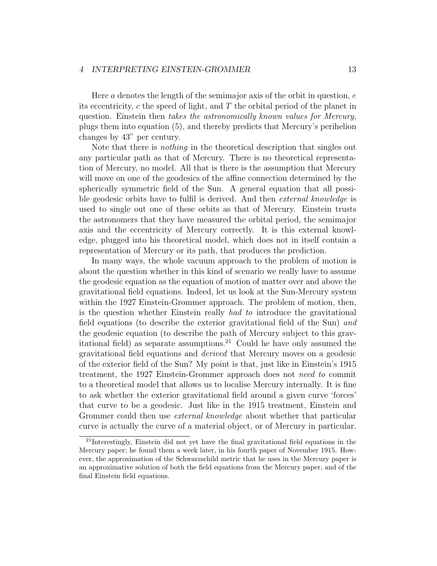Here a denotes the length of the semimajor axis of the orbit in question,  $e$ its eccentricity,  $c$  the speed of light, and  $T$  the orbital period of the planet in question. Einstein then takes the astronomically known values for Mercury, plugs them into equation (5), and thereby predicts that Mercury's perihelion changes by 43" per century.

Note that there is nothing in the theoretical description that singles out any particular path as that of Mercury. There is no theoretical representation of Mercury, no model. All that is there is the assumption that Mercury will move on one of the geodesics of the affine connection determined by the spherically symmetric field of the Sun. A general equation that all possible geodesic orbits have to fulfil is derived. And then external knowledge is used to single out one of these orbits as that of Mercury. Einstein trusts the astronomers that they have measured the orbital period, the semimajor axis and the eccentricity of Mercury correctly. It is this external knowledge, plugged into his theoretical model, which does not in itself contain a representation of Mercury or its path, that produces the prediction.

In many ways, the whole vacuum approach to the problem of motion is about the question whether in this kind of scenario we really have to assume the geodesic equation as the equation of motion of matter over and above the gravitational field equations. Indeed, let us look at the Sun-Mercury system within the 1927 Einstein-Grommer approach. The problem of motion, then, is the question whether Einstein really had to introduce the gravitational field equations (to describe the exterior gravitational field of the Sun) and the geodesic equation (to describe the path of Mercury subject to this gravitational field) as separate assumptions.<sup>21</sup> Could he have only assumed the gravitational field equations and derived that Mercury moves on a geodesic of the exterior field of the Sun? My point is that, just like in Einstein's 1915 treatment, the 1927 Einstein-Grommer approach does not need to commit to a theoretical model that allows us to localise Mercury internally. It is fine to ask whether the exterior gravitational field around a given curve 'forces' that curve to be a geodesic. Just like in the 1915 treatment, Einstein and Grommer could then use *external knowledge* about whether that particular curve is actually the curve of a material object, or of Mercury in particular.

<sup>21</sup>Interestingly, Einstein did not yet have the final gravitational field equations in the Mercury paper; he found them a week later, in his fourth paper of November 1915. However, the approximation of the Schwarzschild metric that he uses in the Mercury paper is an approximative solution of both the field equations from the Mercury paper, and of the final Einstein field equations.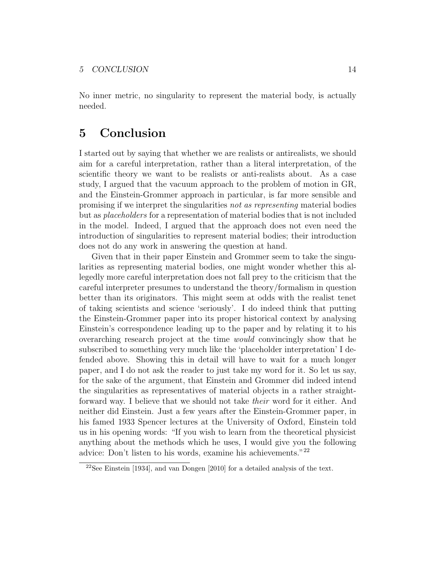No inner metric, no singularity to represent the material body, is actually needed.

# 5 Conclusion

I started out by saying that whether we are realists or antirealists, we should aim for a careful interpretation, rather than a literal interpretation, of the scientific theory we want to be realists or anti-realists about. As a case study, I argued that the vacuum approach to the problem of motion in GR, and the Einstein-Grommer approach in particular, is far more sensible and promising if we interpret the singularities not as representing material bodies but as placeholders for a representation of material bodies that is not included in the model. Indeed, I argued that the approach does not even need the introduction of singularities to represent material bodies; their introduction does not do any work in answering the question at hand.

Given that in their paper Einstein and Grommer seem to take the singularities as representing material bodies, one might wonder whether this allegedly more careful interpretation does not fall prey to the criticism that the careful interpreter presumes to understand the theory/formalism in question better than its originators. This might seem at odds with the realist tenet of taking scientists and science 'seriously'. I do indeed think that putting the Einstein-Grommer paper into its proper historical context by analysing Einstein's correspondence leading up to the paper and by relating it to his overarching research project at the time would convincingly show that he subscribed to something very much like the 'placeholder interpretation' I defended above. Showing this in detail will have to wait for a much longer paper, and I do not ask the reader to just take my word for it. So let us say, for the sake of the argument, that Einstein and Grommer did indeed intend the singularities as representatives of material objects in a rather straightforward way. I believe that we should not take their word for it either. And neither did Einstein. Just a few years after the Einstein-Grommer paper, in his famed 1933 Spencer lectures at the University of Oxford, Einstein told us in his opening words: "If you wish to learn from the theoretical physicist anything about the methods which he uses, I would give you the following advice: Don't listen to his words, examine his achievements."<sup>22</sup>

<sup>22</sup>See Einstein [1934], and van Dongen [2010] for a detailed analysis of the text.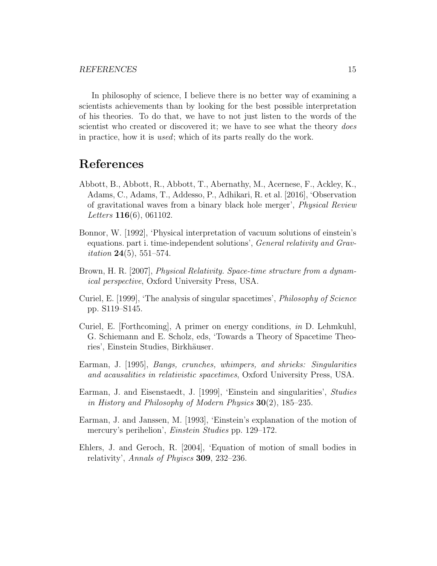In philosophy of science, I believe there is no better way of examining a scientists achievements than by looking for the best possible interpretation of his theories. To do that, we have to not just listen to the words of the scientist who created or discovered it; we have to see what the theory *does* in practice, how it is used; which of its parts really do the work.

# References

- Abbott, B., Abbott, R., Abbott, T., Abernathy, M., Acernese, F., Ackley, K., Adams, C., Adams, T., Addesso, P., Adhikari, R. et al. [2016], 'Observation of gravitational waves from a binary black hole merger', Physical Review Letters **116**(6), 061102.
- Bonnor, W. [1992], 'Physical interpretation of vacuum solutions of einstein's equations. part i. time-independent solutions', *General relativity and Gravitation* 24(5), 551–574.
- Brown, H. R. [2007], Physical Relativity. Space-time structure from a dynamical perspective, Oxford University Press, USA.
- Curiel, E. [1999], 'The analysis of singular spacetimes', Philosophy of Science pp. S119–S145.
- Curiel, E. [Forthcoming], A primer on energy conditions, in D. Lehmkuhl, G. Schiemann and E. Scholz, eds, 'Towards a Theory of Spacetime Theories', Einstein Studies, Birkhäuser.
- Earman, J. [1995], Bangs, crunches, whimpers, and shrieks: Singularities and acausalities in relativistic spacetimes, Oxford University Press, USA.
- Earman, J. and Eisenstaedt, J. [1999], 'Einstein and singularities', Studies in History and Philosophy of Modern Physics  $30(2)$ , 185–235.
- Earman, J. and Janssen, M. [1993], 'Einstein's explanation of the motion of mercury's perihelion', *Einstein Studies* pp. 129–172.
- Ehlers, J. and Geroch, R. [2004], 'Equation of motion of small bodies in relativity', Annals of Phyiscs 309, 232–236.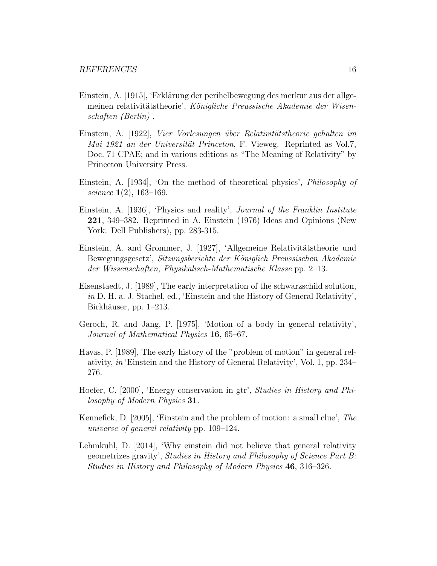- Einstein, A. [1915], 'Erklärung der perihelbewegung des merkur aus der allgemeinen relativitätstheorie', Königliche Preussische Akademie der Wisenschaften (Berlin) .
- Einstein, A. [1922], Vier Vorlesungen über Relativitätstheorie gehalten im Mai 1921 an der Universität Princeton, F. Vieweg. Reprinted as Vol.7, Doc. 71 CPAE; and in various editions as "The Meaning of Relativity" by Princeton University Press.
- Einstein, A. [1934], 'On the method of theoretical physics', Philosophy of science 1(2), 163–169.
- Einstein, A. [1936], 'Physics and reality', Journal of the Franklin Institute 221, 349–382. Reprinted in A. Einstein (1976) Ideas and Opinions (New York: Dell Publishers), pp. 283-315.
- Einstein, A. and Grommer, J. [1927], 'Allgemeine Relativitätstheorie und Bewegungsgesetz', Sitzungsberichte der Königlich Preussischen Akademie der Wissenschaften, Physikalisch-Mathematische Klasse pp. 2–13.
- Eisenstaedt, J. [1989], The early interpretation of the schwarzschild solution, in D. H. a. J. Stachel, ed., 'Einstein and the History of General Relativity', Birkhäuser, pp. 1–213.
- Geroch, R. and Jang, P. [1975], 'Motion of a body in general relativity', Journal of Mathematical Physics 16, 65–67.
- Havas, P. [1989], The early history of the "problem of motion" in general relativity, in 'Einstein and the History of General Relativity', Vol. 1, pp. 234– 276.
- Hoefer, C. [2000], 'Energy conservation in gtr', Studies in History and Philosophy of Modern Physics 31.
- Kennefick, D. [2005], 'Einstein and the problem of motion: a small clue', The universe of general relativity pp. 109–124.
- Lehmkuhl, D. [2014], 'Why einstein did not believe that general relativity geometrizes gravity', Studies in History and Philosophy of Science Part B: Studies in History and Philosophy of Modern Physics 46, 316–326.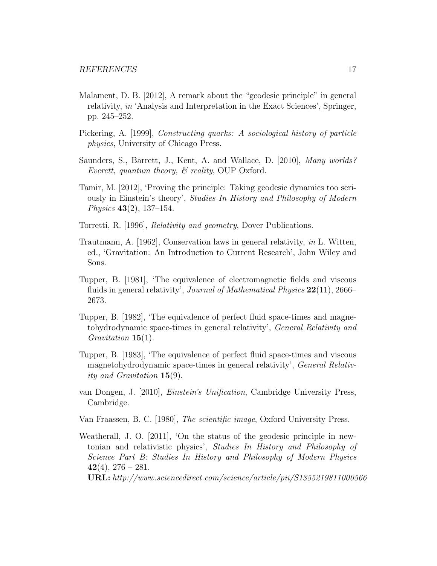- Malament, D. B. [2012], A remark about the "geodesic principle" in general relativity, in 'Analysis and Interpretation in the Exact Sciences', Springer, pp. 245–252.
- Pickering, A. [1999], Constructing quarks: A sociological history of particle physics, University of Chicago Press.
- Saunders, S., Barrett, J., Kent, A. and Wallace, D. [2010], Many worlds? Everett, quantum theory,  $\mathcal{B}$  reality, OUP Oxford.
- Tamir, M. [2012], 'Proving the principle: Taking geodesic dynamics too seriously in Einstein's theory', Studies In History and Philosophy of Modern Physics 43(2), 137–154.
- Torretti, R. [1996], Relativity and geometry, Dover Publications.
- Trautmann, A. [1962], Conservation laws in general relativity, in L. Witten, ed., 'Gravitation: An Introduction to Current Research', John Wiley and Sons.
- Tupper, B. [1981], 'The equivalence of electromagnetic fields and viscous fluids in general relativity', *Journal of Mathematical Physics* 22(11), 2666– 2673.
- Tupper, B. [1982], 'The equivalence of perfect fluid space-times and magnetohydrodynamic space-times in general relativity', General Relativity and Gravitation 15(1).
- Tupper, B. [1983], 'The equivalence of perfect fluid space-times and viscous magnetohydrodynamic space-times in general relativity', General Relativity and Gravitation 15(9).
- van Dongen, J. [2010], Einstein's Unification, Cambridge University Press, Cambridge.
- Van Fraassen, B. C. [1980], The scientific image, Oxford University Press.
- Weatherall, J. O. [2011], 'On the status of the geodesic principle in newtonian and relativistic physics', Studies In History and Philosophy of Science Part B: Studies In History and Philosophy of Modern Physics 42(4),  $276 - 281$ .
	- URL: http://www.sciencedirect.com/science/article/pii/S1355219811000566